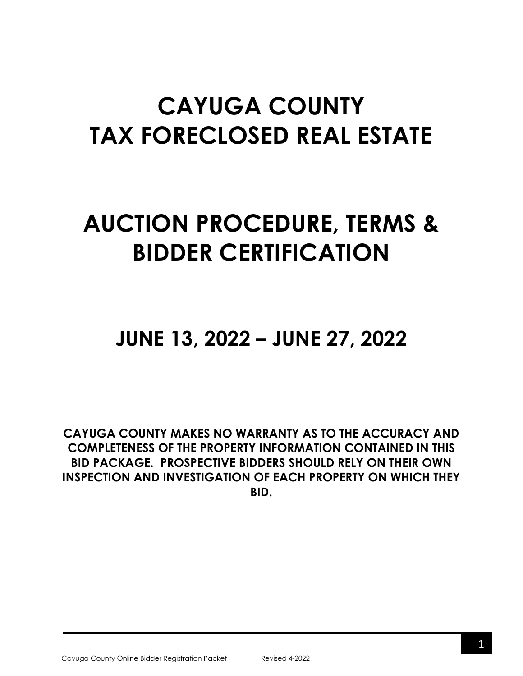# **CAYUGA COUNTY TAX FORECLOSED REAL ESTATE**

## **AUCTION PROCEDURE, TERMS & BIDDER CERTIFICATION**

### **JUNE 13, 2022 – JUNE 27, 2022**

**CAYUGA COUNTY MAKES NO WARRANTY AS TO THE ACCURACY AND COMPLETENESS OF THE PROPERTY INFORMATION CONTAINED IN THIS BID PACKAGE. PROSPECTIVE BIDDERS SHOULD RELY ON THEIR OWN INSPECTION AND INVESTIGATION OF EACH PROPERTY ON WHICH THEY BID.**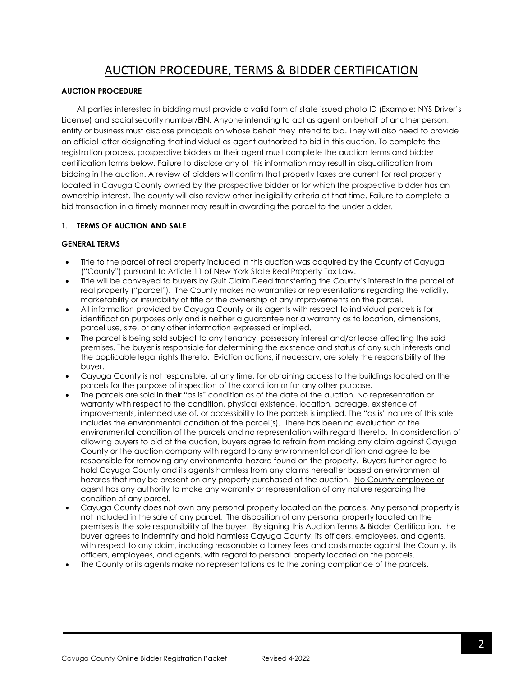### AUCTION PROCEDURE, TERMS & BIDDER CERTIFICATION

#### **AUCTION PROCEDURE**

All parties interested in bidding must provide a valid form of state issued photo ID (Example: NYS Driver's License) and social security number/EIN. Anyone intending to act as agent on behalf of another person, entity or business must disclose principals on whose behalf they intend to bid. They will also need to provide an official letter designating that individual as agent authorized to bid in this auction. To complete the registration process, prospective bidders or their agent must complete the auction terms and bidder certification forms below. Failure to disclose any of this information may result in disqualification from bidding in the auction. A review of bidders will confirm that property taxes are current for real property located in Cayuga County owned by the prospective bidder or for which the prospective bidder has an ownership interest. The county will also review other ineligibility criteria at that time. Failure to complete a bid transaction in a timely manner may result in awarding the parcel to the under bidder.

#### **1. TERMS OF AUCTION AND SALE**

#### **GENERAL TERMS**

- Title to the parcel of real property included in this auction was acquired by the County of Cayuga ("County") pursuant to Article 11 of New York State Real Property Tax Law.
- Title will be conveyed to buyers by Quit Claim Deed transferring the County's interest in the parcel of real property ("parcel"). The County makes no warranties or representations regarding the validity, marketability or insurability of title or the ownership of any improvements on the parcel.
- All information provided by Cayuga County or its agents with respect to individual parcels is for identification purposes only and is neither a guarantee nor a warranty as to location, dimensions, parcel use, size, or any other information expressed or implied.
- The parcel is being sold subject to any tenancy, possessory interest and/or lease affecting the said premises. The buyer is responsible for determining the existence and status of any such interests and the applicable legal rights thereto. Eviction actions, if necessary, are solely the responsibility of the buyer.
- Cayuga County is not responsible, at any time, for obtaining access to the buildings located on the parcels for the purpose of inspection of the condition or for any other purpose.
- The parcels are sold in their "as is" condition as of the date of the auction. No representation or warranty with respect to the condition, physical existence, location, acreage, existence of improvements, intended use of, or accessibility to the parcels is implied. The "as is" nature of this sale includes the environmental condition of the parcel(s). There has been no evaluation of the environmental condition of the parcels and no representation with regard thereto. In consideration of allowing buyers to bid at the auction, buyers agree to refrain from making any claim against Cayuga County or the auction company with regard to any environmental condition and agree to be responsible for removing any environmental hazard found on the property. Buyers further agree to hold Cayuga County and its agents harmless from any claims hereafter based on environmental hazards that may be present on any property purchased at the auction. No County employee or agent has any authority to make any warranty or representation of any nature regarding the condition of any parcel.
- Cayuga County does not own any personal property located on the parcels. Any personal property is not included in the sale of any parcel. The disposition of any personal property located on the premises is the sole responsibility of the buyer. By signing this Auction Terms & Bidder Certification, the buyer agrees to indemnify and hold harmless Cayuga County, its officers, employees, and agents, with respect to any claim, including reasonable attorney fees and costs made against the County, its officers, employees, and agents, with regard to personal property located on the parcels.
- The County or its agents make no representations as to the zoning compliance of the parcels.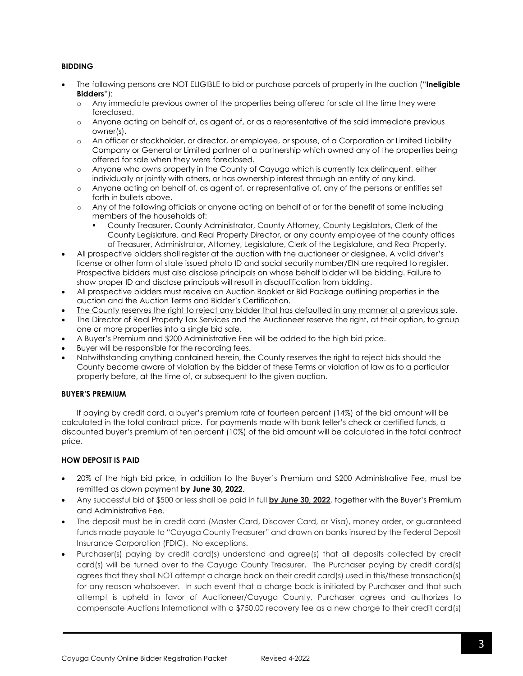#### **BIDDING**

- The following persons are NOT ELIGIBLE to bid or purchase parcels of property in the auction ("**Ineligible Bidders**"):
	- o Any immediate previous owner of the properties being offered for sale at the time they were foreclosed.
	- o Anyone acting on behalf of, as agent of, or as a representative of the said immediate previous owner(s).
	- o An officer or stockholder, or director, or employee, or spouse, of a Corporation or Limited Liability Company or General or Limited partner of a partnership which owned any of the properties being offered for sale when they were foreclosed.
	- o Anyone who owns property in the County of Cayuga which is currently tax delinquent, either individually or jointly with others, or has ownership interest through an entity of any kind.
	- o Anyone acting on behalf of, as agent of, or representative of, any of the persons or entities set forth in bullets above.
	- o Any of the following officials or anyone acting on behalf of or for the benefit of same including members of the households of:
		- County Treasurer, County Administrator, County Attorney, County Legislators, Clerk of the County Legislature, and Real Property Director, or any county employee of the county offices of Treasurer, Administrator, Attorney, Legislature, Clerk of the Legislature, and Real Property.
- All prospective bidders shall register at the auction with the auctioneer or designee. A valid driver's license or other form of state issued photo ID and social security number/EIN are required to register. Prospective bidders must also disclose principals on whose behalf bidder will be bidding. Failure to show proper ID and disclose principals will result in disqualification from bidding.
- All prospective bidders must receive an Auction Booklet or Bid Package outlining properties in the auction and the Auction Terms and Bidder's Certification.
- The County reserves the right to reject any bidder that has defaulted in any manner at a previous sale.
- The Director of Real Property Tax Services and the Auctioneer reserve the right, at their option, to group one or more properties into a single bid sale.
- A Buyer's Premium and \$200 Administrative Fee will be added to the high bid price.
- Buyer will be responsible for the recording fees.
- Notwithstanding anything contained herein, the County reserves the right to reject bids should the County become aware of violation by the bidder of these Terms or violation of law as to a particular property before, at the time of, or subsequent to the given auction.

#### **BUYER'S PREMIUM**

If paying by credit card, a buyer's premium rate of fourteen percent (14%) of the bid amount will be calculated in the total contract price. For payments made with bank teller's check or certified funds, a discounted buyer's premium of ten percent (10%) of the bid amount will be calculated in the total contract price.

#### **HOW DEPOSIT IS PAID**

- 20% of the high bid price, in addition to the Buyer's Premium and \$200 Administrative Fee, must be remitted as down payment **by June 30, 2022**.
- Any successful bid of \$500 or less shall be paid in full **by June 30, 2022**, together with the Buyer's Premium and Administrative Fee.
- The deposit must be in credit card (Master Card, Discover Card, or Visa), money order, or guaranteed funds made payable to "Cayuga County Treasurer" and drawn on banks insured by the Federal Deposit Insurance Corporation (FDIC). No exceptions.
- Purchaser(s) paying by credit card(s) understand and agree(s) that all deposits collected by credit card(s) will be turned over to the Cayuga County Treasurer. The Purchaser paying by credit card(s) agrees that they shall NOT attempt a charge back on their credit card(s) used in this/these transaction(s) for any reason whatsoever. In such event that a charge back is initiated by Purchaser and that such attempt is upheld in favor of Auctioneer/Cayuga County, Purchaser agrees and authorizes to compensate Auctions International with a \$750.00 recovery fee as a new charge to their credit card(s)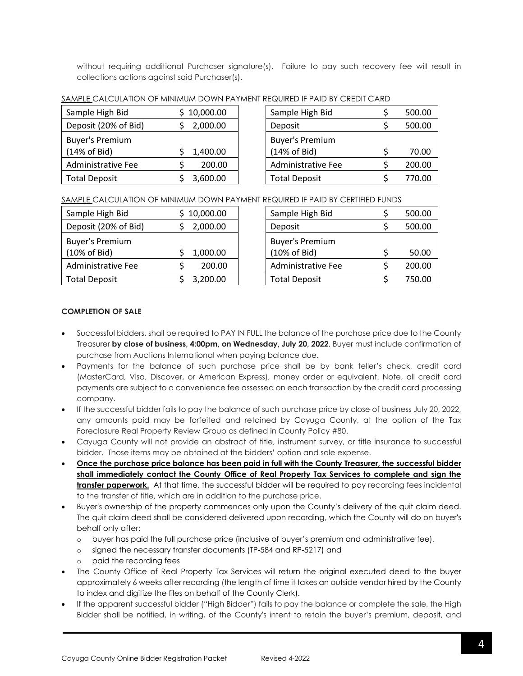without requiring additional Purchaser signature(s). Failure to pay such recovery fee will result in collections actions against said Purchaser(s).

| Sample High Bid                        | \$10,000.00 | Sample High Bid                        | 500.00 |
|----------------------------------------|-------------|----------------------------------------|--------|
| Deposit (20% of Bid)                   | 2,000.00    | Deposit                                | 500.00 |
| <b>Buyer's Premium</b><br>(14% of Bid) | 1,400.00    | <b>Buyer's Premium</b><br>(14% of Bid) | 70.00  |
| Administrative Fee                     | 200.00      | <b>Administrative Fee</b>              | 200.00 |
| <b>Total Deposit</b>                   | 3,600.00    | <b>Total Deposit</b>                   | 770.00 |

SAMPLE CALCULATION OF MINIMUM DOWN PAYMENT REQUIRED IF PAID BY CREDIT CARD

| Sample High Bid        |    | 500.00 |
|------------------------|----|--------|
| Deposit                |    | 500.00 |
| <b>Buyer's Premium</b> |    |        |
| (14% of Bid)           | Ś  | 70.00  |
| Administrative Fee     | \$ | 200.00 |
| <b>Total Deposit</b>   |    | 770.00 |

#### SAMPLE CALCULATION OF MINIMUM DOWN PAYMENT REQUIRED IF PAID BY CERTIFIED FUNDS

| Sample High Bid        | \$10,000.00 | Sample High Bid        |  | 500.00 |
|------------------------|-------------|------------------------|--|--------|
| Deposit (20% of Bid)   | 2,000.00    | Deposit                |  | 500.00 |
| <b>Buyer's Premium</b> |             | <b>Buyer's Premium</b> |  |        |
| (10% of Bid)           | 1,000.00    | (10% of Bid)           |  | 50.00  |
| Administrative Fee     | 200.00      | Administrative Fee     |  | 200.00 |
| <b>Total Deposit</b>   | 3,200.00    | <b>Total Deposit</b>   |  | 750.00 |

| Sample High Bid           | Ś  | 500.00 |
|---------------------------|----|--------|
| Deposit                   | S  | 500.00 |
| <b>Buyer's Premium</b>    |    |        |
| (10% of Bid)              | \$ | 50.00  |
| <b>Administrative Fee</b> | Ś  | 200.00 |
| <b>Total Deposit</b>      | Ś  | 750.00 |
|                           |    |        |

#### **COMPLETION OF SALE**

- Successful bidders, shall be required to PAY IN FULL the balance of the purchase price due to the County Treasurer **by close of business, 4:00pm, on Wednesday, July 20, 2022**. Buyer must include confirmation of purchase from Auctions International when paying balance due.
- Payments for the balance of such purchase price shall be by bank teller's check, credit card (MasterCard, Visa, Discover, or American Express), money order or equivalent. Note, all credit card payments are subject to a convenience fee assessed on each transaction by the credit card processing company.
- If the successful bidder fails to pay the balance of such purchase price by close of business July 20, 2022, any amounts paid may be forfeited and retained by Cayuga County, at the option of the Tax Foreclosure Real Property Review Group as defined in County Policy #80.
- Cayuga County will not provide an abstract of title, instrument survey, or title insurance to successful bidder. Those items may be obtained at the bidders' option and sole expense.
- **Once the purchase price balance has been paid in full with the County Treasurer, the successful bidder shall immediately contact the County Office of Real Property Tax Services to complete and sign the transfer paperwork.** At that time, the successful bidder will be required to pay recording fees incidental to the transfer of title, which are in addition to the purchase price.
- Buyer's ownership of the property commences only upon the County's delivery of the quit claim deed. The quit claim deed shall be considered delivered upon recording, which the County will do on buyer's behalf only after:
	- o buyer has paid the full purchase price (inclusive of buyer's premium and administrative fee),
	- o signed the necessary transfer documents (TP-584 and RP-5217) and
	- o paid the recording fees
- The County Office of Real Property Tax Services will return the original executed deed to the buyer approximately 6 weeks after recording (the length of time it takes an outside vendor hired by the County to index and digitize the files on behalf of the County Clerk).
- If the apparent successful bidder ("High Bidder") fails to pay the balance or complete the sale, the High Bidder shall be notified, in writing, of the County's intent to retain the buyer's premium, deposit, and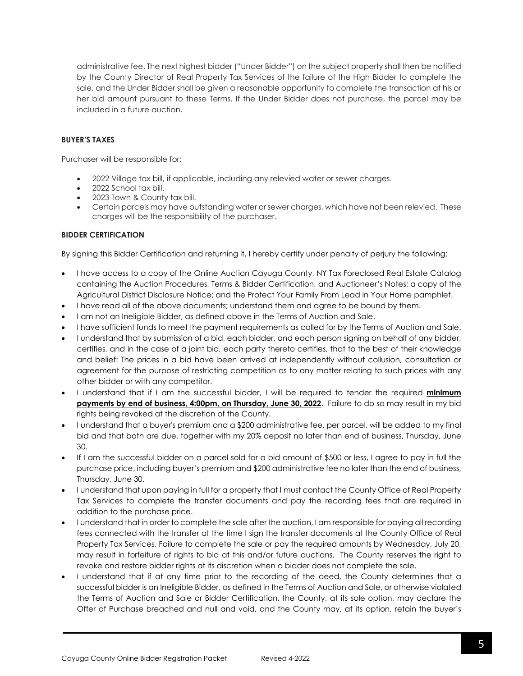administrative fee. The next highest bidder ("Under Bidder") on the subject property shall then be notified by the County Director of Real Property Tax Services of the failure of the High Bidder to complete the sale, and the Under Bidder shall be given a reasonable opportunity to complete the transaction at his or her bid amount pursuant to these Terms. If the Under Bidder does not purchase, the parcel may be included in a future auction.

#### **BUYER'S TAXES**

Purchaser will be responsible for:

- 2022 Village tax bill, if applicable, including any relevied water or sewer charges.
- 2022 School tax bill.
- 2023 Town & County tax bill.
- Certain parcels may have outstanding water or sewer charges, which have not been relevied. These charges will be the responsibility of the purchaser.

#### **BIDDER CERTIFICATION**

By signing this Bidder Certification and returning it, I hereby certify under penalty of perjury the following:

- I have access to a copy of the Online Auction Cayuga County, NY Tax Foreclosed Real Estate Catalog containing the Auction Procedures, Terms & Bidder Certification, and Auctioneer's Notes; a copy of the Agricultural District Disclosure Notice; and the Protect Your Family From Lead in Your Home pamphlet.
- I have read all of the above documents; understand them and agree to be bound by them.
- I am not an Ineligible Bidder, as defined above in the Terms of Auction and Sale.
- I have sufficient funds to meet the payment requirements as called for by the Terms of Auction and Sale.
- I understand that by submission of a bid, each bidder, and each person signing on behalf of any bidder, certifies, and in the case of a joint bid, each party thereto certifies, that to the best of their knowledge and belief: The prices in a bid have been arrived at independently without collusion, consultation or agreement for the purpose of restricting competition as to any matter relating to such prices with any other bidder or with any competitor.
- I understand that if I am the successful bidder, I will be required to tender the required **minimum payments by end of business, 4:00pm, on Thursday, June 30, 2022**. Failure to do so may result in my bid rights being revoked at the discretion of the County.
- I understand that a buyer's premium and a \$200 administrative fee, per parcel, will be added to my final bid and that both are due, together with my 20% deposit no later than end of business, Thursday, June 30.
- If I am the successful bidder on a parcel sold for a bid amount of \$500 or less, I agree to pay in full the purchase price, including buyer's premium and \$200 administrative fee no later than the end of business, Thursday, June 30.
- I understand that upon paying in full for a property that I must contact the County Office of Real Property Tax Services to complete the transfer documents and pay the recording fees that are required in addition to the purchase price.
- I understand that in order to complete the sale after the auction, I am responsible for paying all recording fees connected with the transfer at the time I sign the transfer documents at the County Office of Real Property Tax Services. Failure to complete the sale or pay the required amounts by Wednesday, July 20, may result in forfeiture of rights to bid at this and/or future auctions. The County reserves the right to revoke and restore bidder rights at its discretion when a bidder does not complete the sale.
- I understand that if at any time prior to the recording of the deed, the County determines that a successful bidder is an Ineligible Bidder, as defined in the Terms of Auction and Sale, or otherwise violated the Terms of Auction and Sale or Bidder Certification, the County, at its sole option, may declare the Offer of Purchase breached and null and void, and the County may, at its option, retain the buyer's